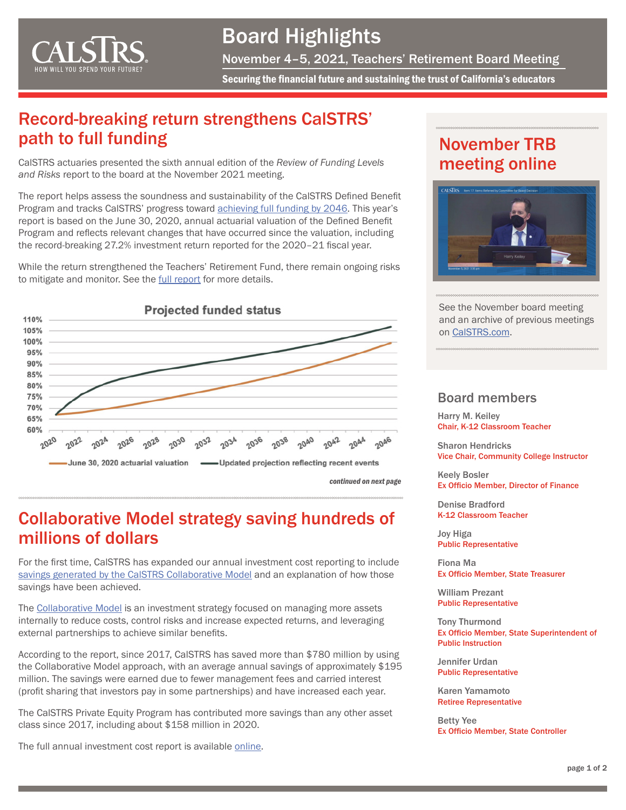

## Board Highlights

November 4–5, 2021, Teachers' Retirement Board Meeting

Securing the financial future and sustaining the trust of California's educators

## Record-breaking return strengthens CalSTRS' path to full funding

CalSTRS actuaries presented the sixth annual edition of the *Review of Funding Levels and Risks* report to the board at the November 2021 meeting.

The report helps assess the soundness and sustainability of the CalSTRS Defined Benefit Program and tracks CalSTRS' progress toward **achieving full funding by 2046**. This year's report is based on the June 30, 2020, annual actuarial valuation of the Defined Benefit Program and reflects relevant changes that have occurred since the valuation, including the record-breaking 27.2% investment return reported for the 2020–21 fiscal year.

While the return strengthened the Teachers' Retirement Fund, there remain ongoing risks to mitigate and monitor. See the [full report](https://resources.calstrs.com/publicdocs/Page/CommonPage.aspx?PageName=DocumentDownload&Id=2dcdfe76-f7c5-4cf2-b6bd-f0294af2f778) for more details.



### Collaborative Model strategy saving hundreds of millions of dollars

For the first time, CalSTRS has expanded our annual investment cost reporting to include [savings generated by the CalSTRS Collaborative Model](https://resources.calstrs.com/publicdocs/Page/CommonPage.aspx?PageName=DocumentDownload&Id=ab977892-72d1-425f-bd5a-3fd7ac4b48e6) and an explanation of how those savings have been achieved.

The [Collaborative Model](https://resources.calstrs.com/publicdocs/Page/CommonPage.aspx?PageName=DocumentDownload&Id=8d474dcf-0777-4033-bef9-01ab40a02ea3) is an investment strategy focused on managing more assets internally to reduce costs, control risks and increase expected returns, and leveraging external partnerships to achieve similar benefits.

According to the report, since 2017, CalSTRS has saved more than \$780 million by using the Collaborative Model approach, with an average annual savings of approximately \$195 million. The savings were earned due to fewer management fees and carried interest (profit sharing that investors pay in some partnerships) and have increased each year.

The CalSTRS Private Equity Program has contributed more savings than any other asset class since 2017, including about \$158 million in 2020.

The full annual investment cost report is available [online](https://resources.calstrs.com/publicdocs/Page/CommonPage.aspx?PageName=DocumentDownload&Id=cecb6cf2-e7e3-4418-b4d7-7606a933a505).

## November TRB meeting online



See the November board meeting and an archive of previous meetings on [CalSTRS.com.](https://www.calstrs.com/board-meeting-video-archive)

#### Board members

Harry M. Keiley Chair, K-12 Classroom Teacher

Sharon Hendricks Vice Chair, Community College Instructor

Keely Bosler Ex Officio Member, Director of Finance

Denise Bradford K-12 Classroom Teacher

Joy Higa Public Representative

Fiona Ma Ex Officio Member, State Treasurer

William Prezant Public Representative

Tony Thurmond Ex Officio Member, State Superintendent of Public Instruction

Jennifer Urdan Public Representative

Karen Yamamoto Retiree Representative

Betty Yee Ex Officio Member, State Controller